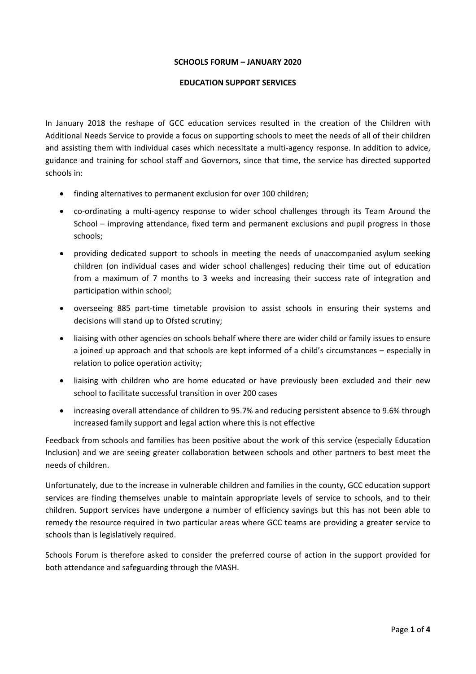### **SCHOOLS FORUM – JANUARY 2020**

#### **EDUCATION SUPPORT SERVICES**

In January 2018 the reshape of GCC education services resulted in the creation of the Children with Additional Needs Service to provide a focus on supporting schools to meet the needs of all of their children and assisting them with individual cases which necessitate a multi-agency response. In addition to advice, guidance and training for school staff and Governors, since that time, the service has directed supported schools in:

- finding alternatives to permanent exclusion for over 100 children;
- co-ordinating a multi-agency response to wider school challenges through its Team Around the School – improving attendance, fixed term and permanent exclusions and pupil progress in those schools;
- providing dedicated support to schools in meeting the needs of unaccompanied asylum seeking children (on individual cases and wider school challenges) reducing their time out of education from a maximum of 7 months to 3 weeks and increasing their success rate of integration and participation within school;
- overseeing 885 part-time timetable provision to assist schools in ensuring their systems and decisions will stand up to Ofsted scrutiny;
- liaising with other agencies on schools behalf where there are wider child or family issues to ensure a joined up approach and that schools are kept informed of a child's circumstances – especially in relation to police operation activity;
- liaising with children who are home educated or have previously been excluded and their new school to facilitate successful transition in over 200 cases
- increasing overall attendance of children to 95.7% and reducing persistent absence to 9.6% through increased family support and legal action where this is not effective

Feedback from schools and families has been positive about the work of this service (especially Education Inclusion) and we are seeing greater collaboration between schools and other partners to best meet the needs of children.

Unfortunately, due to the increase in vulnerable children and families in the county, GCC education support services are finding themselves unable to maintain appropriate levels of service to schools, and to their children. Support services have undergone a number of efficiency savings but this has not been able to remedy the resource required in two particular areas where GCC teams are providing a greater service to schools than is legislatively required.

Schools Forum is therefore asked to consider the preferred course of action in the support provided for both attendance and safeguarding through the MASH.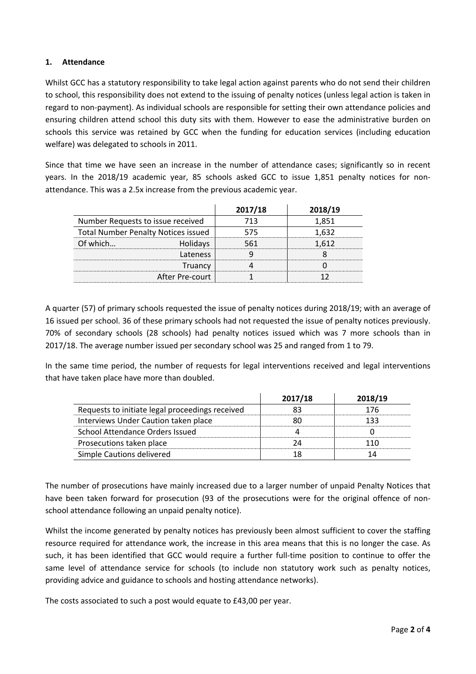## **1. Attendance**

Whilst GCC has a statutory responsibility to take legal action against parents who do not send their children to school, this responsibility does not extend to the issuing of penalty notices (unless legal action is taken in regard to non-payment). As individual schools are responsible for setting their own attendance policies and ensuring children attend school this duty sits with them. However to ease the administrative burden on schools this service was retained by GCC when the funding for education services (including education welfare) was delegated to schools in 2011.

Since that time we have seen an increase in the number of attendance cases; significantly so in recent years. In the 2018/19 academic year, 85 schools asked GCC to issue 1,851 penalty notices for nonattendance. This was a 2.5x increase from the previous academic year.

|                                            |                 | 2017/18 | 2018/19 |
|--------------------------------------------|-----------------|---------|---------|
| Number Requests to issue received          |                 | า २     |         |
| <b>Total Number Penalty Notices issued</b> |                 |         |         |
| ∩f which…                                  | Holidays        |         |         |
|                                            | Lateness        |         |         |
|                                            | Truancy         |         |         |
|                                            | After Pre-court |         |         |

A quarter (57) of primary schools requested the issue of penalty notices during 2018/19; with an average of 16 issued per school. 36 of these primary schools had not requested the issue of penalty notices previously. 70% of secondary schools (28 schools) had penalty notices issued which was 7 more schools than in 2017/18. The average number issued per secondary school was 25 and ranged from 1 to 79.

In the same time period, the number of requests for legal interventions received and legal interventions that have taken place have more than doubled.

|                                                 | 2017/18 | 2018/19 |
|-------------------------------------------------|---------|---------|
| Requests to initiate legal proceedings received |         | 176     |
| Interviews Under Caution taken place            |         |         |
| School Attendance Orders Issued                 |         |         |
| Prosecutions taken place                        |         |         |
| Simple Cautions delivered                       |         |         |

The number of prosecutions have mainly increased due to a larger number of unpaid Penalty Notices that have been taken forward for prosecution (93 of the prosecutions were for the original offence of nonschool attendance following an unpaid penalty notice).

Whilst the income generated by penalty notices has previously been almost sufficient to cover the staffing resource required for attendance work, the increase in this area means that this is no longer the case. As such, it has been identified that GCC would require a further full-time position to continue to offer the same level of attendance service for schools (to include non statutory work such as penalty notices, providing advice and guidance to schools and hosting attendance networks).

The costs associated to such a post would equate to £43,00 per year.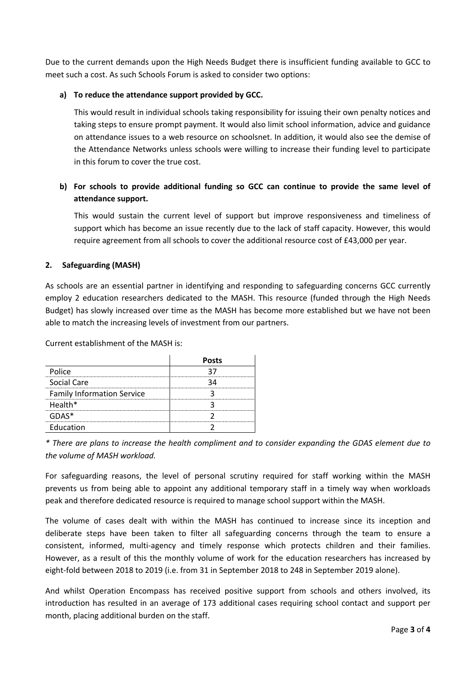Due to the current demands upon the High Needs Budget there is insufficient funding available to GCC to meet such a cost. As such Schools Forum is asked to consider two options:

### **a) To reduce the attendance support provided by GCC.**

This would result in individual schools taking responsibility for issuing their own penalty notices and taking steps to ensure prompt payment. It would also limit school information, advice and guidance on attendance issues to a web resource on schoolsnet. In addition, it would also see the demise of the Attendance Networks unless schools were willing to increase their funding level to participate in this forum to cover the true cost.

# **b) For schools to provide additional funding so GCC can continue to provide the same level of attendance support.**

This would sustain the current level of support but improve responsiveness and timeliness of support which has become an issue recently due to the lack of staff capacity. However, this would require agreement from all schools to cover the additional resource cost of £43,000 per year.

## **2. Safeguarding (MASH)**

As schools are an essential partner in identifying and responding to safeguarding concerns GCC currently employ 2 education researchers dedicated to the MASH. This resource (funded through the High Needs Budget) has slowly increased over time as the MASH has become more established but we have not been able to match the increasing levels of investment from our partners.

Current establishment of the MASH is:

|                                   | <b>Posts</b> |
|-----------------------------------|--------------|
| Police                            |              |
| Social Care                       |              |
| <b>Family Information Service</b> |              |
| Health*                           |              |
| GDAS*                             |              |
| Education                         |              |

\* There are plans to increase the health compliment and to consider expanding the GDAS element due to *the volume of MASH workload.*

For safeguarding reasons, the level of personal scrutiny required for staff working within the MASH prevents us from being able to appoint any additional temporary staff in a timely way when workloads peak and therefore dedicated resource is required to manage school support within the MASH.

The volume of cases dealt with within the MASH has continued to increase since its inception and deliberate steps have been taken to filter all safeguarding concerns through the team to ensure a consistent, informed, multi-agency and timely response which protects children and their families. However, as a result of this the monthly volume of work for the education researchers has increased by eight-fold between 2018 to 2019 (i.e. from 31 in September 2018 to 248 in September 2019 alone).

And whilst Operation Encompass has received positive support from schools and others involved, its introduction has resulted in an average of 173 additional cases requiring school contact and support per month, placing additional burden on the staff.